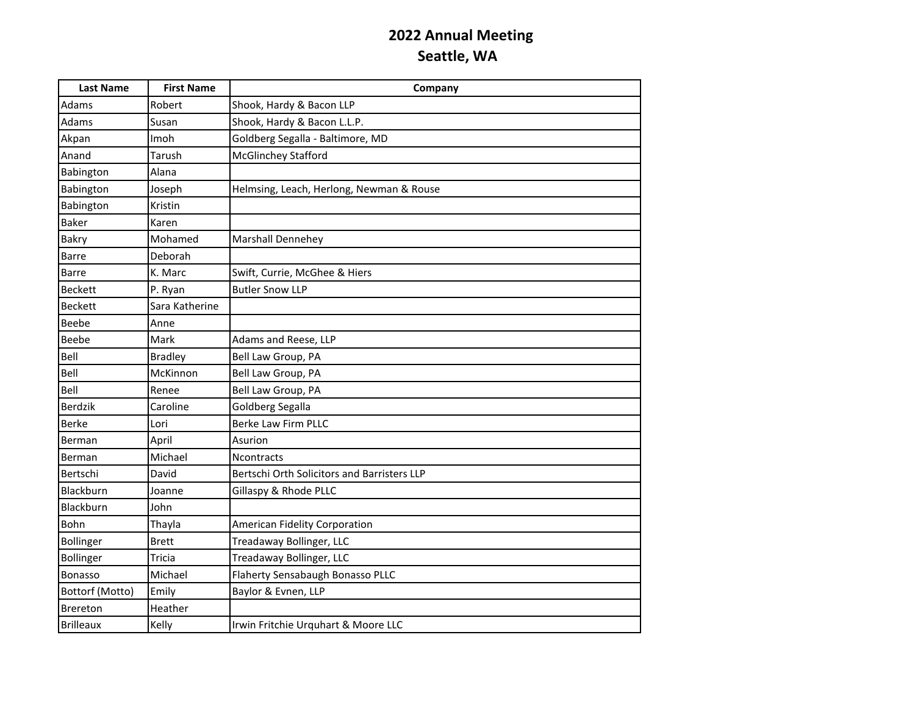| <b>Last Name</b> | <b>First Name</b> | Company                                     |
|------------------|-------------------|---------------------------------------------|
| Adams            | Robert            | Shook, Hardy & Bacon LLP                    |
| Adams            | Susan             | Shook, Hardy & Bacon L.L.P.                 |
| Akpan            | Imoh              | Goldberg Segalla - Baltimore, MD            |
| Anand            | Tarush            | <b>McGlinchey Stafford</b>                  |
| Babington        | Alana             |                                             |
| Babington        | Joseph            | Helmsing, Leach, Herlong, Newman & Rouse    |
| Babington        | Kristin           |                                             |
| Baker            | Karen             |                                             |
| <b>Bakry</b>     | Mohamed           | <b>Marshall Dennehey</b>                    |
| <b>Barre</b>     | Deborah           |                                             |
| <b>Barre</b>     | K. Marc           | Swift, Currie, McGhee & Hiers               |
| <b>Beckett</b>   | P. Ryan           | <b>Butler Snow LLP</b>                      |
| <b>Beckett</b>   | Sara Katherine    |                                             |
| Beebe            | Anne              |                                             |
| <b>Beebe</b>     | Mark              | Adams and Reese, LLP                        |
| Bell             | <b>Bradley</b>    | Bell Law Group, PA                          |
| Bell             | McKinnon          | Bell Law Group, PA                          |
| Bell             | Renee             | Bell Law Group, PA                          |
| Berdzik          | Caroline          | Goldberg Segalla                            |
| <b>Berke</b>     | Lori              | Berke Law Firm PLLC                         |
| Berman           | April             | Asurion                                     |
| Berman           | Michael           | <b>Ncontracts</b>                           |
| Bertschi         | David             | Bertschi Orth Solicitors and Barristers LLP |
| Blackburn        | Joanne            | Gillaspy & Rhode PLLC                       |
| Blackburn        | John              |                                             |
| Bohn             | Thayla            | American Fidelity Corporation               |
| Bollinger        | <b>Brett</b>      | Treadaway Bollinger, LLC                    |
| <b>Bollinger</b> | Tricia            | Treadaway Bollinger, LLC                    |
| <b>Bonasso</b>   | Michael           | Flaherty Sensabaugh Bonasso PLLC            |
| Bottorf (Motto)  | Emily             | Baylor & Evnen, LLP                         |
| <b>Brereton</b>  | Heather           |                                             |
| <b>Brilleaux</b> | Kelly             | Irwin Fritchie Urquhart & Moore LLC         |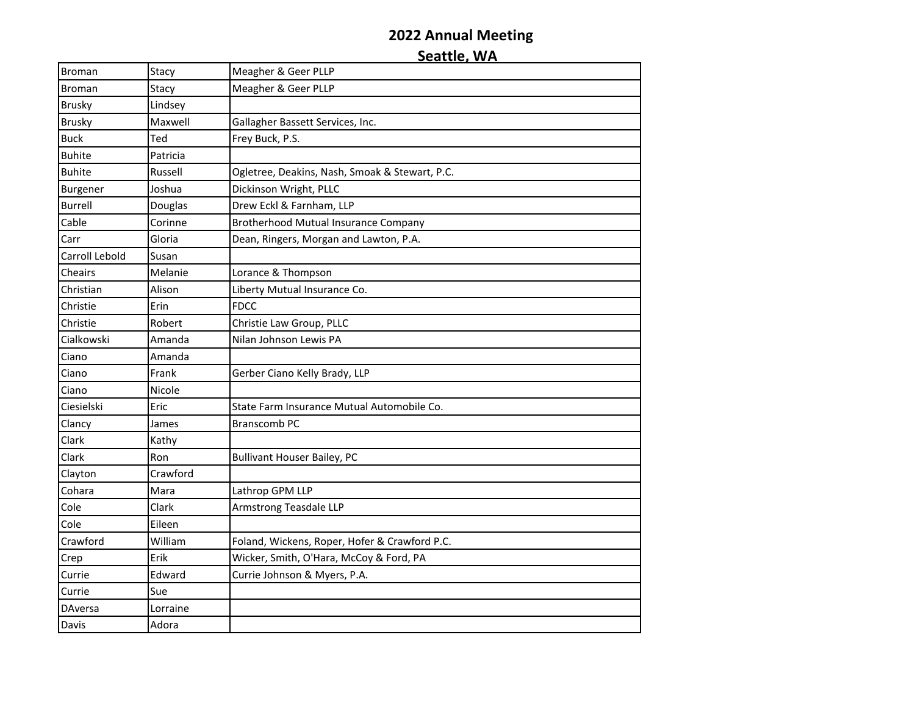| <b>Broman</b>  | Stacy    | Meagher & Geer PLLP                            |
|----------------|----------|------------------------------------------------|
| Broman         | Stacy    | Meagher & Geer PLLP                            |
| <b>Brusky</b>  | Lindsey  |                                                |
| <b>Brusky</b>  | Maxwell  | Gallagher Bassett Services, Inc.               |
| <b>Buck</b>    | Ted      | Frey Buck, P.S.                                |
| <b>Buhite</b>  | Patricia |                                                |
| <b>Buhite</b>  | Russell  | Ogletree, Deakins, Nash, Smoak & Stewart, P.C. |
| Burgener       | Joshua   | Dickinson Wright, PLLC                         |
| <b>Burrell</b> | Douglas  | Drew Eckl & Farnham, LLP                       |
| Cable          | Corinne  | Brotherhood Mutual Insurance Company           |
| Carr           | Gloria   | Dean, Ringers, Morgan and Lawton, P.A.         |
| Carroll Lebold | Susan    |                                                |
| Cheairs        | Melanie  | Lorance & Thompson                             |
| Christian      | Alison   | Liberty Mutual Insurance Co.                   |
| Christie       | Erin     | <b>FDCC</b>                                    |
| Christie       | Robert   | Christie Law Group, PLLC                       |
| Cialkowski     | Amanda   | Nilan Johnson Lewis PA                         |
| Ciano          | Amanda   |                                                |
| Ciano          | Frank    | Gerber Ciano Kelly Brady, LLP                  |
| Ciano          | Nicole   |                                                |
| Ciesielski     | Eric     | State Farm Insurance Mutual Automobile Co.     |
| Clancy         | James    | <b>Branscomb PC</b>                            |
| Clark          | Kathy    |                                                |
| Clark          | Ron      | <b>Bullivant Houser Bailey, PC</b>             |
| Clayton        | Crawford |                                                |
| Cohara         | Mara     | Lathrop GPM LLP                                |
| Cole           | Clark    | Armstrong Teasdale LLP                         |
| Cole           | Eileen   |                                                |
| Crawford       | William  | Foland, Wickens, Roper, Hofer & Crawford P.C.  |
| Crep           | Erik     | Wicker, Smith, O'Hara, McCoy & Ford, PA        |
| Currie         | Edward   | Currie Johnson & Myers, P.A.                   |
| Currie         | Sue      |                                                |
| DAversa        | Lorraine |                                                |
| Davis          | Adora    |                                                |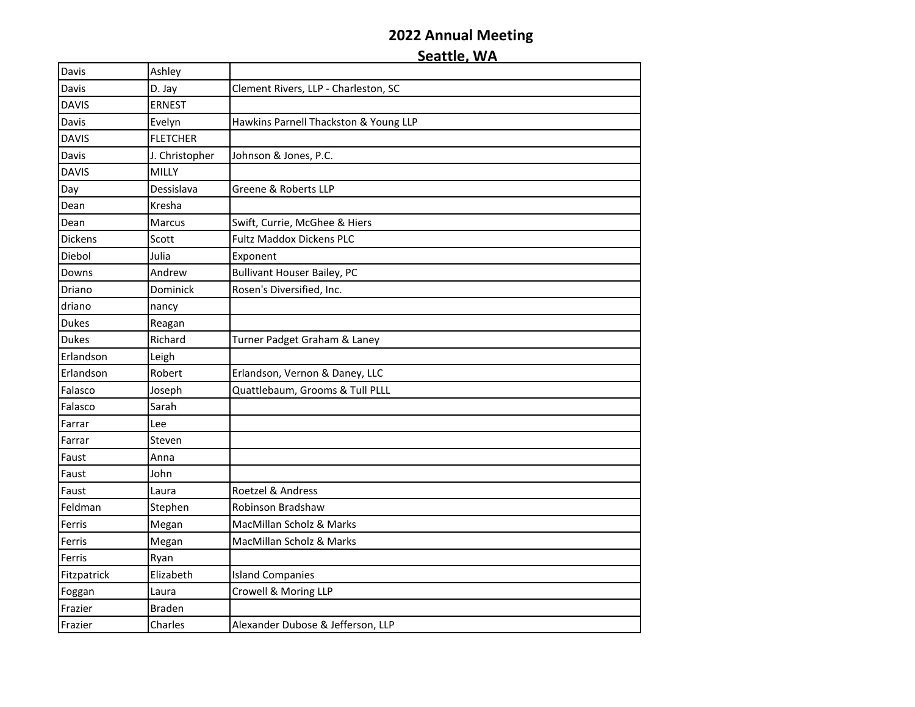| Davis          | Ashley          |                                       |
|----------------|-----------------|---------------------------------------|
| Davis          | D. Jay          | Clement Rivers, LLP - Charleston, SC  |
| <b>DAVIS</b>   | <b>ERNEST</b>   |                                       |
| Davis          | Evelyn          | Hawkins Parnell Thackston & Young LLP |
| <b>DAVIS</b>   | <b>FLETCHER</b> |                                       |
| Davis          | J. Christopher  | Johnson & Jones, P.C.                 |
| <b>DAVIS</b>   | MILLY           |                                       |
| Day            | Dessislava      | Greene & Roberts LLP                  |
| Dean           | Kresha          |                                       |
| Dean           | Marcus          | Swift, Currie, McGhee & Hiers         |
| <b>Dickens</b> | Scott           | <b>Fultz Maddox Dickens PLC</b>       |
| Diebol         | Julia           | Exponent                              |
| Downs          | Andrew          | <b>Bullivant Houser Bailey, PC</b>    |
| Driano         | Dominick        | Rosen's Diversified, Inc.             |
| driano         | nancy           |                                       |
| <b>Dukes</b>   | Reagan          |                                       |
| <b>Dukes</b>   | Richard         | Turner Padget Graham & Laney          |
| Erlandson      | Leigh           |                                       |
| Erlandson      | Robert          | Erlandson, Vernon & Daney, LLC        |
| Falasco        | Joseph          | Quattlebaum, Grooms & Tull PLLL       |
| Falasco        | Sarah           |                                       |
| Farrar         | Lee             |                                       |
| Farrar         | Steven          |                                       |
| Faust          | Anna            |                                       |
| Faust          | John            |                                       |
| Faust          | Laura           | Roetzel & Andress                     |
| Feldman        | Stephen         | Robinson Bradshaw                     |
| Ferris         | Megan           | MacMillan Scholz & Marks              |
| Ferris         | Megan           | MacMillan Scholz & Marks              |
| Ferris         | Ryan            |                                       |
| Fitzpatrick    | Elizabeth       | <b>Island Companies</b>               |
| Foggan         | Laura           | Crowell & Moring LLP                  |
| Frazier        | <b>Braden</b>   |                                       |
| Frazier        | Charles         | Alexander Dubose & Jefferson, LLP     |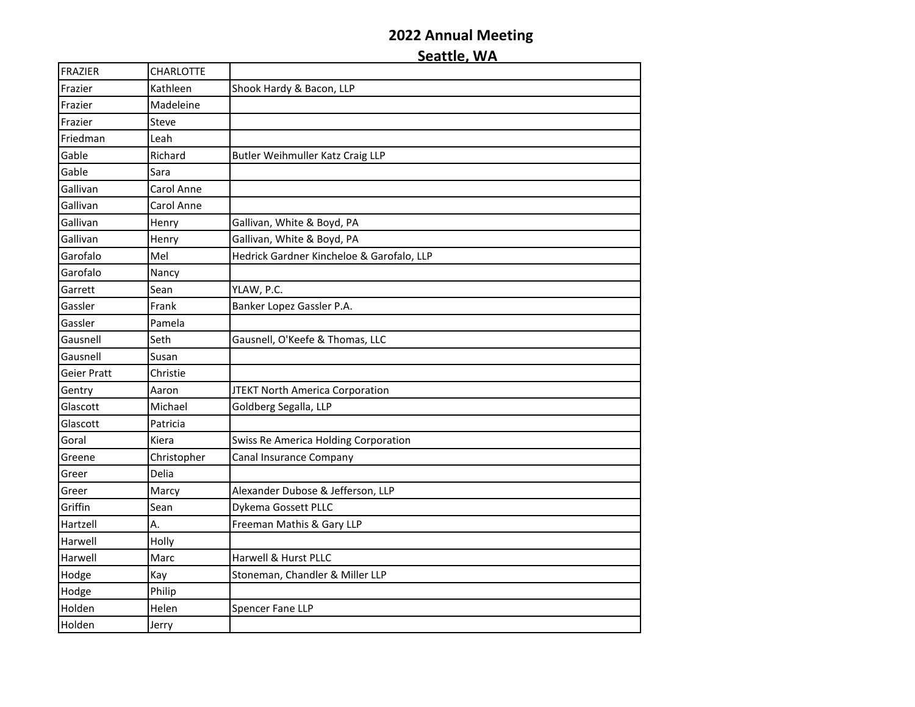| <b>FRAZIER</b> | <b>CHARLOTTE</b> |                                           |
|----------------|------------------|-------------------------------------------|
| Frazier        | Kathleen         | Shook Hardy & Bacon, LLP                  |
| Frazier        | Madeleine        |                                           |
| Frazier        | Steve            |                                           |
| Friedman       | Leah             |                                           |
| Gable          | Richard          | Butler Weihmuller Katz Craig LLP          |
| Gable          | Sara             |                                           |
| Gallivan       | Carol Anne       |                                           |
| Gallivan       | Carol Anne       |                                           |
| Gallivan       | Henry            | Gallivan, White & Boyd, PA                |
| Gallivan       | Henry            | Gallivan, White & Boyd, PA                |
| Garofalo       | Mel              | Hedrick Gardner Kincheloe & Garofalo, LLP |
| Garofalo       | Nancy            |                                           |
| Garrett        | Sean             | YLAW, P.C.                                |
| Gassler        | Frank            | Banker Lopez Gassler P.A.                 |
| Gassler        | Pamela           |                                           |
| Gausnell       | Seth             | Gausnell, O'Keefe & Thomas, LLC           |
| Gausnell       | Susan            |                                           |
| Geier Pratt    | Christie         |                                           |
| Gentry         | Aaron            | JTEKT North America Corporation           |
| Glascott       | Michael          | Goldberg Segalla, LLP                     |
| Glascott       | Patricia         |                                           |
| Goral          | Kiera            | Swiss Re America Holding Corporation      |
| Greene         | Christopher      | Canal Insurance Company                   |
| Greer          | Delia            |                                           |
| Greer          | Marcy            | Alexander Dubose & Jefferson, LLP         |
| Griffin        | Sean             | Dykema Gossett PLLC                       |
| Hartzell       | А.               | Freeman Mathis & Gary LLP                 |
| Harwell        | Holly            |                                           |
| Harwell        | Marc             | Harwell & Hurst PLLC                      |
| Hodge          | Kay              | Stoneman, Chandler & Miller LLP           |
| Hodge          | Philip           |                                           |
| Holden         | Helen            | Spencer Fane LLP                          |
| Holden         | Jerry            |                                           |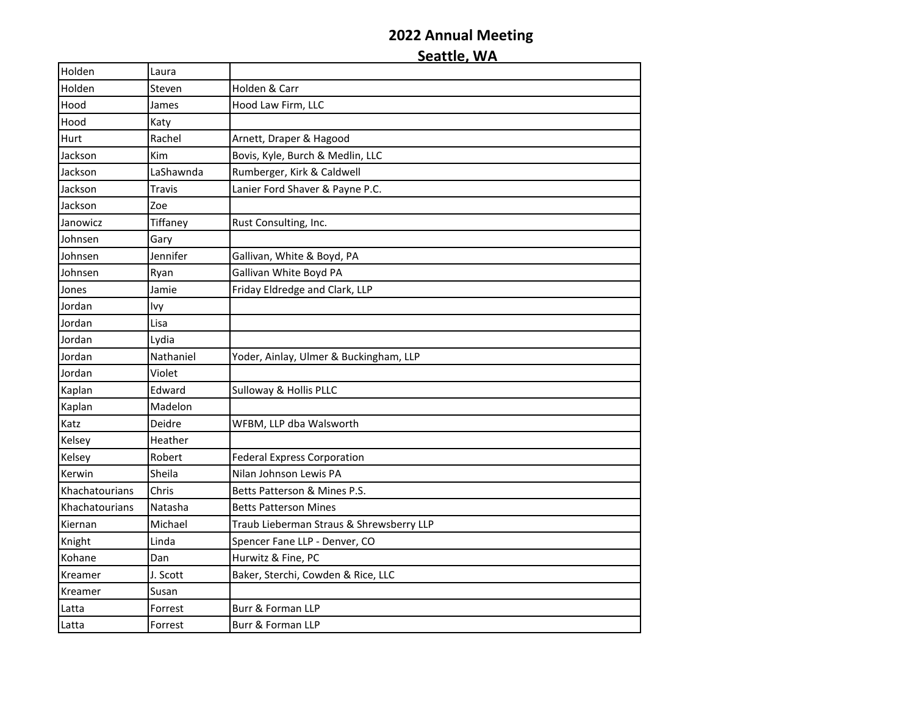| Holden         | Laura     |                                          |
|----------------|-----------|------------------------------------------|
| Holden         | Steven    | Holden & Carr                            |
| Hood           | James     | Hood Law Firm, LLC                       |
| Hood           | Katy      |                                          |
| Hurt           | Rachel    | Arnett, Draper & Hagood                  |
| Jackson        | Kim       | Bovis, Kyle, Burch & Medlin, LLC         |
| Jackson        | LaShawnda | Rumberger, Kirk & Caldwell               |
| Jackson        | Travis    | Lanier Ford Shaver & Payne P.C.          |
| Jackson        | Zoe       |                                          |
| Janowicz       | Tiffaney  | Rust Consulting, Inc.                    |
| Johnsen        | Gary      |                                          |
| Johnsen        | Jennifer  | Gallivan, White & Boyd, PA               |
| Johnsen        | Ryan      | Gallivan White Boyd PA                   |
| Jones          | Jamie     | Friday Eldredge and Clark, LLP           |
| Jordan         | lvy       |                                          |
| Jordan         | Lisa      |                                          |
| Jordan         | Lydia     |                                          |
| Jordan         | Nathaniel | Yoder, Ainlay, Ulmer & Buckingham, LLP   |
| Jordan         | Violet    |                                          |
| Kaplan         | Edward    | Sulloway & Hollis PLLC                   |
| Kaplan         | Madelon   |                                          |
| Katz           | Deidre    | WFBM, LLP dba Walsworth                  |
| Kelsey         | Heather   |                                          |
| Kelsey         | Robert    | <b>Federal Express Corporation</b>       |
| Kerwin         | Sheila    | Nilan Johnson Lewis PA                   |
| Khachatourians | Chris     | Betts Patterson & Mines P.S.             |
| Khachatourians | Natasha   | <b>Betts Patterson Mines</b>             |
| Kiernan        | Michael   | Traub Lieberman Straus & Shrewsberry LLP |
| Knight         | Linda     | Spencer Fane LLP - Denver, CO            |
| Kohane         | Dan       | Hurwitz & Fine, PC                       |
| Kreamer        | J. Scott  | Baker, Sterchi, Cowden & Rice, LLC       |
| Kreamer        | Susan     |                                          |
| Latta          | Forrest   | Burr & Forman LLP                        |
| Latta          | Forrest   | Burr & Forman LLP                        |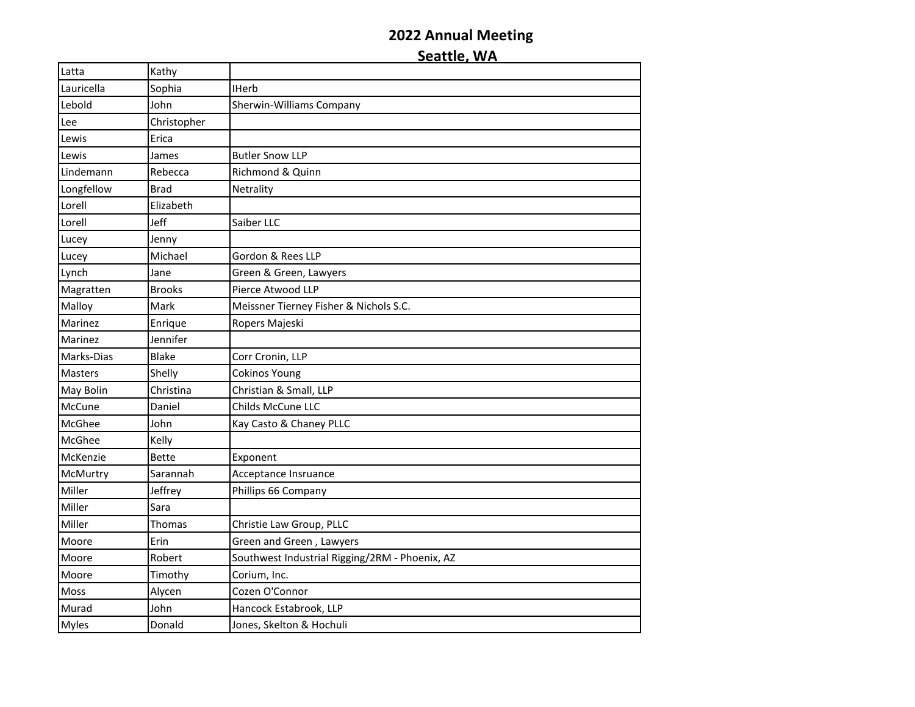| Latta          | Kathy         |                                                |
|----------------|---------------|------------------------------------------------|
| Lauricella     | Sophia        | <b>IHerb</b>                                   |
| Lebold         | John          | Sherwin-Williams Company                       |
| Lee            | Christopher   |                                                |
| Lewis          | Erica         |                                                |
| Lewis          | James         | <b>Butler Snow LLP</b>                         |
| Lindemann      | Rebecca       | Richmond & Quinn                               |
| Longfellow     | <b>Brad</b>   | Netrality                                      |
| Lorell         | Elizabeth     |                                                |
| Lorell         | Jeff          | Saiber LLC                                     |
| Lucey          | Jenny         |                                                |
| Lucey          | Michael       | Gordon & Rees LLP                              |
| Lynch          | Jane          | Green & Green, Lawyers                         |
| Magratten      | <b>Brooks</b> | Pierce Atwood LLP                              |
| Malloy         | Mark          | Meissner Tierney Fisher & Nichols S.C.         |
| Marinez        | Enrique       | Ropers Majeski                                 |
| Marinez        | Jennifer      |                                                |
| Marks-Dias     | <b>Blake</b>  | Corr Cronin, LLP                               |
| <b>Masters</b> | Shelly        | <b>Cokinos Young</b>                           |
| May Bolin      | Christina     | Christian & Small, LLP                         |
| McCune         | Daniel        | Childs McCune LLC                              |
| McGhee         | John          | Kay Casto & Chaney PLLC                        |
| McGhee         | Kelly         |                                                |
| McKenzie       | <b>Bette</b>  | Exponent                                       |
| McMurtry       | Sarannah      | Acceptance Insruance                           |
| Miller         | Jeffrey       | Phillips 66 Company                            |
| Miller         | Sara          |                                                |
| Miller         | Thomas        | Christie Law Group, PLLC                       |
| Moore          | Erin          | Green and Green, Lawyers                       |
| Moore          | Robert        | Southwest Industrial Rigging/2RM - Phoenix, AZ |
| Moore          | Timothy       | Corium, Inc.                                   |
| Moss           | Alycen        | Cozen O'Connor                                 |
| Murad          | John          | Hancock Estabrook, LLP                         |
| <b>Myles</b>   | Donald        | Jones, Skelton & Hochuli                       |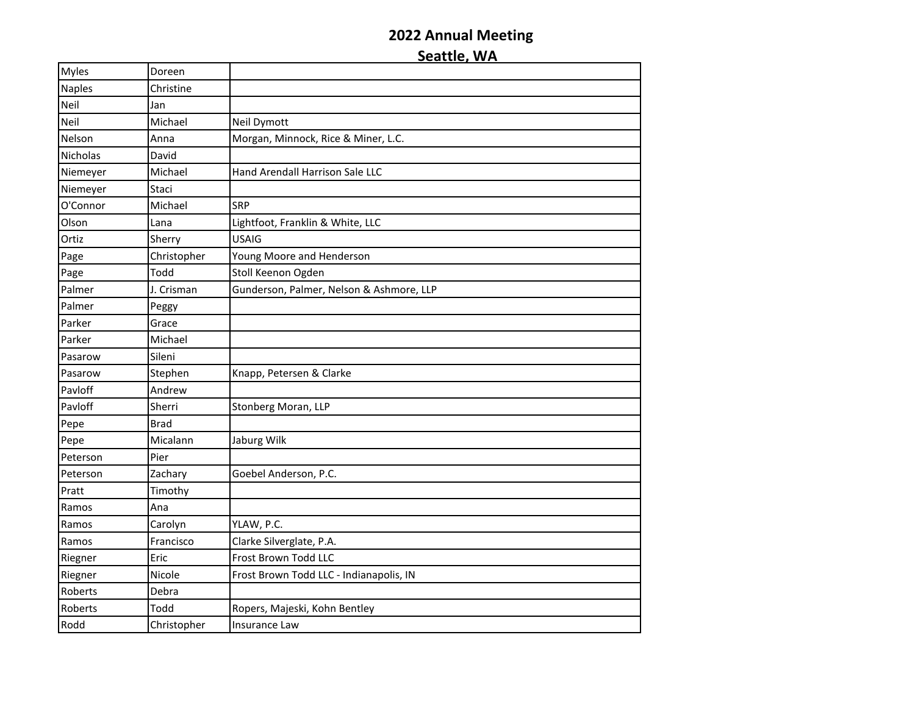| <b>Myles</b>  | Doreen      |                                          |
|---------------|-------------|------------------------------------------|
| <b>Naples</b> | Christine   |                                          |
| Neil          | Jan         |                                          |
| Neil          | Michael     | Neil Dymott                              |
| Nelson        | Anna        | Morgan, Minnock, Rice & Miner, L.C.      |
| Nicholas      | David       |                                          |
| Niemeyer      | Michael     | Hand Arendall Harrison Sale LLC          |
| Niemeyer      | Staci       |                                          |
| O'Connor      | Michael     | <b>SRP</b>                               |
| Olson         | Lana        | Lightfoot, Franklin & White, LLC         |
| Ortiz         | Sherry      | <b>USAIG</b>                             |
| Page          | Christopher | Young Moore and Henderson                |
| Page          | Todd        | Stoll Keenon Ogden                       |
| Palmer        | J. Crisman  | Gunderson, Palmer, Nelson & Ashmore, LLP |
| Palmer        | Peggy       |                                          |
| Parker        | Grace       |                                          |
| Parker        | Michael     |                                          |
| Pasarow       | Sileni      |                                          |
| Pasarow       | Stephen     | Knapp, Petersen & Clarke                 |
| Pavloff       | Andrew      |                                          |
| Pavloff       | Sherri      | Stonberg Moran, LLP                      |
| Pepe          | <b>Brad</b> |                                          |
| Pepe          | Micalann    | Jaburg Wilk                              |
| Peterson      | Pier        |                                          |
| Peterson      | Zachary     | Goebel Anderson, P.C.                    |
| Pratt         | Timothy     |                                          |
| Ramos         | Ana         |                                          |
| Ramos         | Carolyn     | YLAW, P.C.                               |
| Ramos         | Francisco   | Clarke Silverglate, P.A.                 |
| Riegner       | Eric        | Frost Brown Todd LLC                     |
| Riegner       | Nicole      | Frost Brown Todd LLC - Indianapolis, IN  |
| Roberts       | Debra       |                                          |
| Roberts       | Todd        | Ropers, Majeski, Kohn Bentley            |
| Rodd          | Christopher | Insurance Law                            |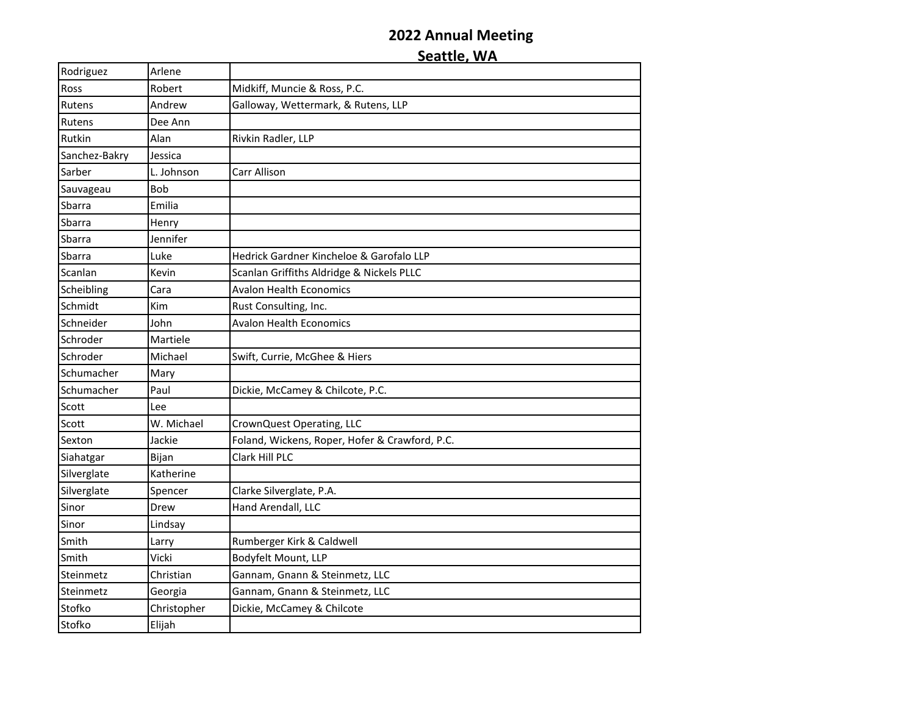Rodriguez Arlene Ross Robert Midkiff, Muncie & Ross, P.C. Rutens **Andrew** Galloway, Wettermark, & Rutens, LLP Rutens Dee Ann Rutkin Alan Rivkin Radler, LLP Sanchez-Bakry Jessica Sarber **L. Johnson** Carr Allison Sauvageau Bob Sbarra Emilia Sbarra **Henry** Sbarra Jennifer Sbarra Luke Hedrick Gardner Kincheloe & Garofalo LLP Scanlan Kevin Scanlan Griffiths Aldridge & Nickels PLLC Scheibling Cara Avalon Health Economics Schmidt Kim Rust Consulting, Inc. Schneider John Avalon Health Economics Schroder Martiele Schroder Michael Swift, Currie, McGhee & Hiers Schumacher Mary Schumacher | Paul | Dickie, McCamey & Chilcote, P.C. Scott Lee Scott W. Michael CrownQuest Operating, LLC Sexton Jackie Foland, Wickens, Roper, Hofer & Crawford, P.C. Siahatgar Bijan Clark Hill PLC Silverglate Katherine Silverglate Spencer Clarke Silverglate, P.A. Sinor **Drew** Hand Arendall, LLC Sinor Lindsay Smith **Larry** Rumberger Kirk & Caldwell Smith Vicki Bodyfelt Mount, LLP Steinmetz Christian Gannam, Gnann & Steinmetz, LLC Steinmetz | Georgia | Gannam, Gnann & Steinmetz, LLC Stofko Christopher Dickie, McCamey & Chilcote Stofko Elijah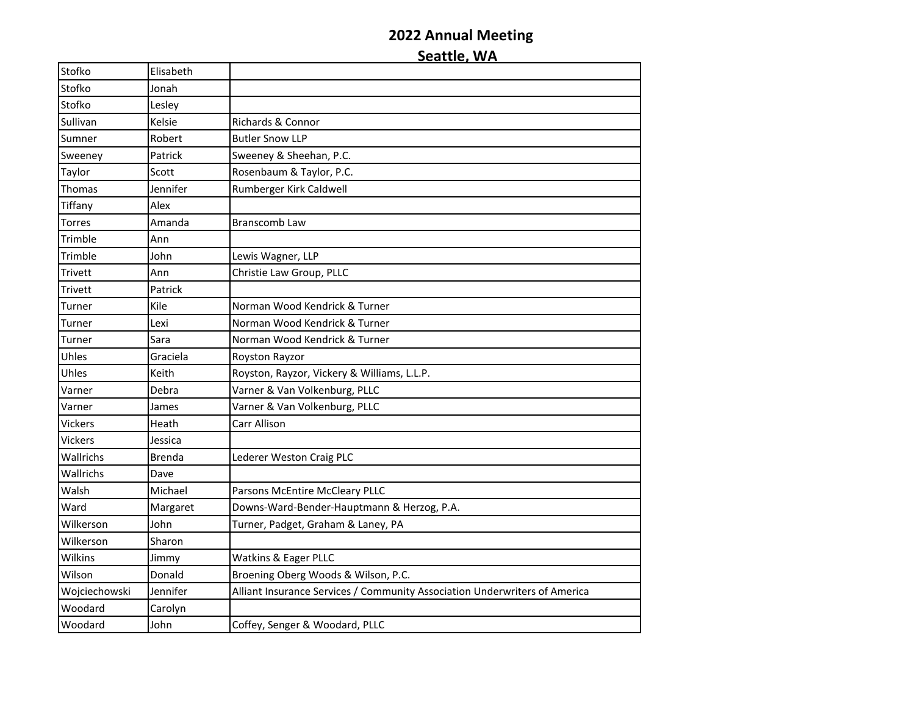| Stofko         | Elisabeth     |                                                                            |
|----------------|---------------|----------------------------------------------------------------------------|
| Stofko         | Jonah         |                                                                            |
| Stofko         | Lesley        |                                                                            |
| Sullivan       | Kelsie        | Richards & Connor                                                          |
| Sumner         | Robert        | <b>Butler Snow LLP</b>                                                     |
| Sweeney        | Patrick       | Sweeney & Sheehan, P.C.                                                    |
| Taylor         | Scott         | Rosenbaum & Taylor, P.C.                                                   |
| Thomas         | Jennifer      | Rumberger Kirk Caldwell                                                    |
| Tiffany        | Alex          |                                                                            |
| Torres         | Amanda        | Branscomb Law                                                              |
| Trimble        | Ann           |                                                                            |
| Trimble        | John          | Lewis Wagner, LLP                                                          |
| Trivett        | Ann           | Christie Law Group, PLLC                                                   |
| Trivett        | Patrick       |                                                                            |
| Turner         | Kile          | Norman Wood Kendrick & Turner                                              |
| Turner         | Lexi          | Norman Wood Kendrick & Turner                                              |
| Turner         | Sara          | Norman Wood Kendrick & Turner                                              |
| Uhles          | Graciela      | Royston Rayzor                                                             |
| Uhles          | Keith         | Royston, Rayzor, Vickery & Williams, L.L.P.                                |
| Varner         | Debra         | Varner & Van Volkenburg, PLLC                                              |
| Varner         | James         | Varner & Van Volkenburg, PLLC                                              |
| <b>Vickers</b> | Heath         | Carr Allison                                                               |
| <b>Vickers</b> | Jessica       |                                                                            |
| Wallrichs      | <b>Brenda</b> | Lederer Weston Craig PLC                                                   |
| Wallrichs      | Dave          |                                                                            |
| Walsh          | Michael       | Parsons McEntire McCleary PLLC                                             |
| Ward           | Margaret      | Downs-Ward-Bender-Hauptmann & Herzog, P.A.                                 |
| Wilkerson      | John          | Turner, Padget, Graham & Laney, PA                                         |
| Wilkerson      | Sharon        |                                                                            |
| Wilkins        | Jimmy         | Watkins & Eager PLLC                                                       |
| Wilson         | Donald        | Broening Oberg Woods & Wilson, P.C.                                        |
| Wojciechowski  | Jennifer      | Alliant Insurance Services / Community Association Underwriters of America |
| Woodard        | Carolyn       |                                                                            |
| Woodard        | John          | Coffey, Senger & Woodard, PLLC                                             |